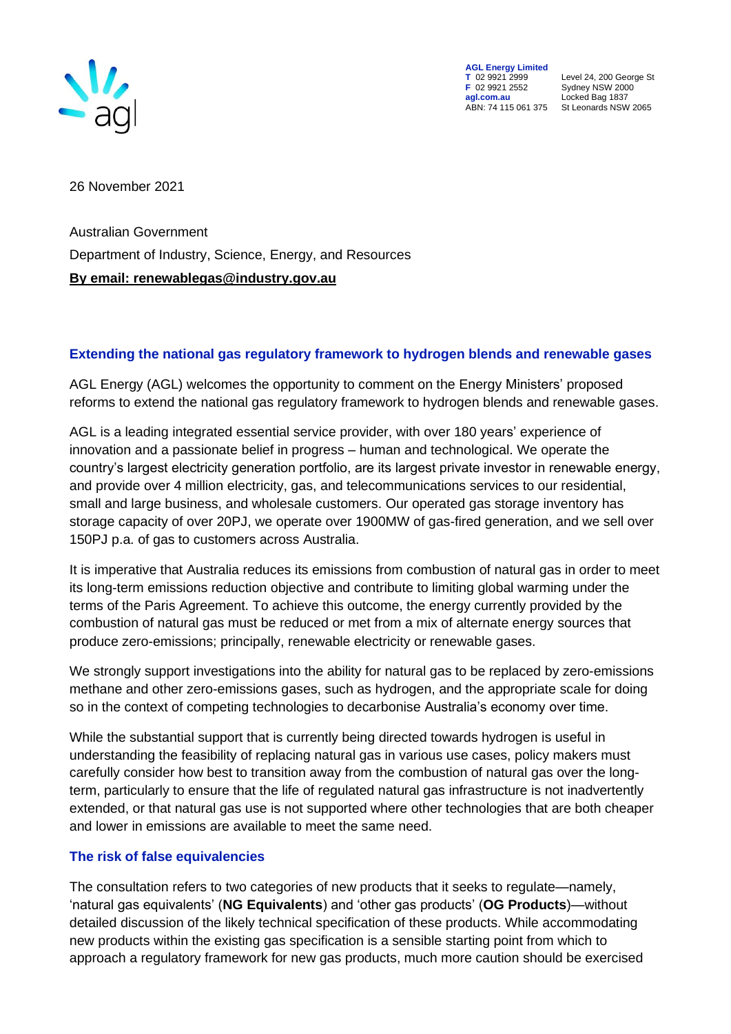

**AGL Energy Limited**<br> **T** 02 9921 2999<br> **F** 02 9921 2552 **F** 02 9921 2552 Sydney NSW 2000 ABN: 74 115 061 375

**T** 02 9921 2999 Level 24, 200 George St **agl.com.au** Locked Bag 1837<br>ABN: 74 115 061 375 St Leonards NSW 2065

26 November 2021

Australian Government Department of Industry, Science, Energy, and Resources **By email: renewablegas@industry.gov.au**

## **Extending the national gas regulatory framework to hydrogen blends and renewable gases**

AGL Energy (AGL) welcomes the opportunity to comment on the Energy Ministers' proposed reforms to extend the national gas regulatory framework to hydrogen blends and renewable gases.

AGL is a leading integrated essential service provider, with over 180 years' experience of innovation and a passionate belief in progress – human and technological. We operate the country's largest electricity generation portfolio, are its largest private investor in renewable energy, and provide over 4 million electricity, gas, and telecommunications services to our residential, small and large business, and wholesale customers. Our operated gas storage inventory has storage capacity of over 20PJ, we operate over 1900MW of gas-fired generation, and we sell over 150PJ p.a. of gas to customers across Australia.

It is imperative that Australia reduces its emissions from combustion of natural gas in order to meet its long-term emissions reduction objective and contribute to limiting global warming under the terms of the Paris Agreement. To achieve this outcome, the energy currently provided by the combustion of natural gas must be reduced or met from a mix of alternate energy sources that produce zero-emissions; principally, renewable electricity or renewable gases.

We strongly support investigations into the ability for natural gas to be replaced by zero-emissions methane and other zero-emissions gases, such as hydrogen, and the appropriate scale for doing so in the context of competing technologies to decarbonise Australia's economy over time.

While the substantial support that is currently being directed towards hydrogen is useful in understanding the feasibility of replacing natural gas in various use cases, policy makers must carefully consider how best to transition away from the combustion of natural gas over the longterm, particularly to ensure that the life of regulated natural gas infrastructure is not inadvertently extended, or that natural gas use is not supported where other technologies that are both cheaper and lower in emissions are available to meet the same need.

## **The risk of false equivalencies**

The consultation refers to two categories of new products that it seeks to regulate—namely, 'natural gas equivalents' (**NG Equivalents**) and 'other gas products' (**OG Products**)—without detailed discussion of the likely technical specification of these products. While accommodating new products within the existing gas specification is a sensible starting point from which to approach a regulatory framework for new gas products, much more caution should be exercised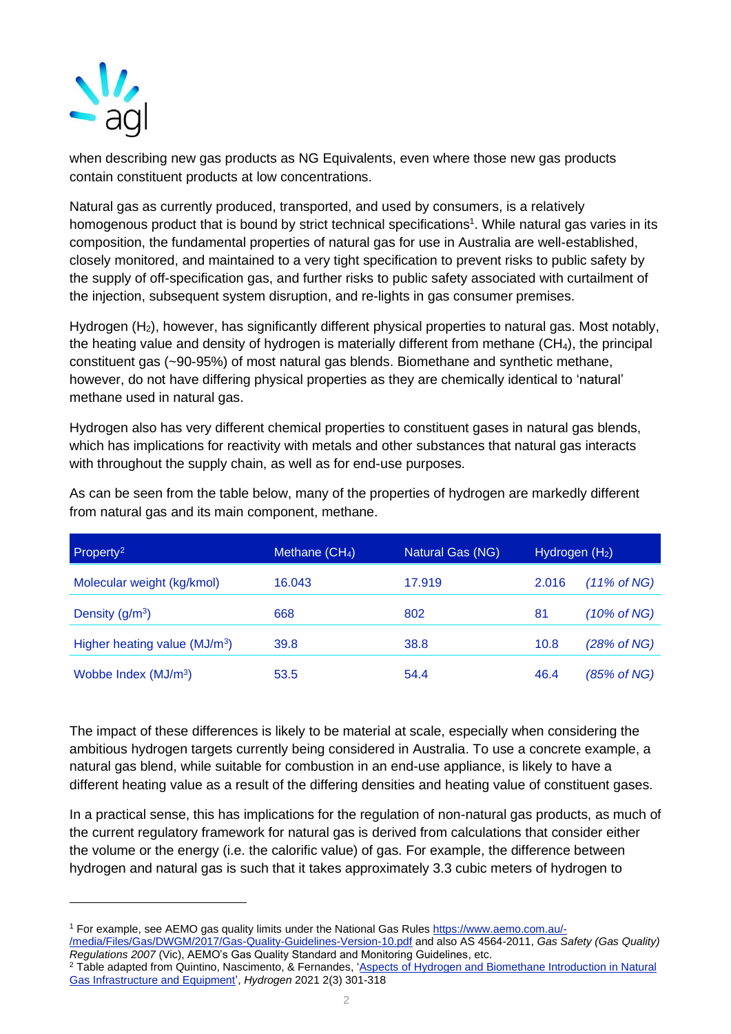

when describing new gas products as NG Equivalents, even where those new gas products contain constituent products at low concentrations.

Natural gas as currently produced, transported, and used by consumers, is a relatively homogenous product that is bound by strict technical specifications<sup>1</sup>. While natural gas varies in its composition, the fundamental properties of natural gas for use in Australia are well-established, closely monitored, and maintained to a very tight specification to prevent risks to public safety by the supply of off-specification gas, and further risks to public safety associated with curtailment of the injection, subsequent system disruption, and re-lights in gas consumer premises.

Hydrogen (H<sub>2</sub>), however, has significantly different physical properties to natural gas. Most notably, the heating value and density of hydrogen is materially different from methane (CH<sub>4</sub>), the principal constituent gas (~90-95%) of most natural gas blends. Biomethane and synthetic methane, however, do not have differing physical properties as they are chemically identical to 'natural' methane used in natural gas.

Hydrogen also has very different chemical properties to constituent gases in natural gas blends, which has implications for reactivity with metals and other substances that natural gas interacts with throughout the supply chain, as well as for end-use purposes.

| Property <sup>2</sup>                     | Methane $(CH_4)$ | <b>Natural Gas (NG)</b> | Hydrogen $(H2)$ |                        |
|-------------------------------------------|------------------|-------------------------|-----------------|------------------------|
| Molecular weight (kg/kmol)                | 16.043           | 17.919                  | 2.016           | $(11\% \text{ of NG})$ |
| Density $(g/m3)$                          | 668              | 802                     | 81              | $(10\% \text{ of NG})$ |
| Higher heating value (MJ/m <sup>3</sup> ) | 39.8             | 38.8                    | 10.8            | (28% of NG)            |
| Wobbe Index (MJ/m <sup>3</sup> )          | 53.5             | 54.4                    | 46.4            | (85% of NG)            |

As can be seen from the table below, many of the properties of hydrogen are markedly different from natural gas and its main component, methane.

The impact of these differences is likely to be material at scale, especially when considering the ambitious hydrogen targets currently being considered in Australia. To use a concrete example, a natural gas blend, while suitable for combustion in an end-use appliance, is likely to have a different heating value as a result of the differing densities and heating value of constituent gases.

In a practical sense, this has implications for the regulation of non-natural gas products, as much of the current regulatory framework for natural gas is derived from calculations that consider either the volume or the energy (i.e. the calorific value) of gas. For example, the difference between hydrogen and natural gas is such that it takes approximately 3.3 cubic meters of hydrogen to

<sup>1</sup> For example, see AEMO gas quality limits under the National Gas Rule[s https://www.aemo.com.au/-](https://www.aemo.com.au/-/media/Files/Gas/DWGM/2017/Gas-Quality-Guidelines-Version-10.pdf)

[<sup>/</sup>media/Files/Gas/DWGM/2017/Gas-Quality-Guidelines-Version-10.pdf](https://www.aemo.com.au/-/media/Files/Gas/DWGM/2017/Gas-Quality-Guidelines-Version-10.pdf) and also AS 4564-2011, *Gas Safety (Gas Quality) Regulations 2007* (Vic), AEMO's Gas Quality Standard and Monitoring Guidelines, etc.

<sup>&</sup>lt;sup>2</sup> Table adapted from Quintino, Nascimento, & Fernandes, 'Aspects of Hydrogen and Biomethane Introduction in Natural [Gas Infrastructure and Equipment',](https://www.mdpi.com/2673-4141/2/3/16) *Hydrogen* 2021 2(3) 301-318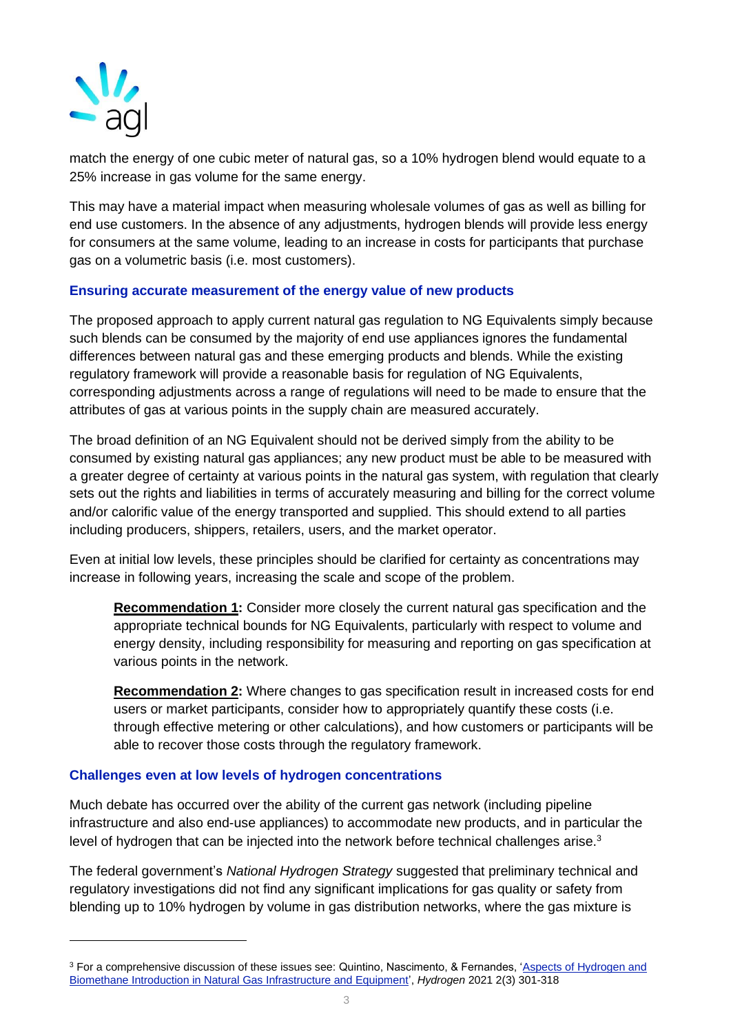

match the energy of one cubic meter of natural gas, so a 10% hydrogen blend would equate to a 25% increase in gas volume for the same energy.

This may have a material impact when measuring wholesale volumes of gas as well as billing for end use customers. In the absence of any adjustments, hydrogen blends will provide less energy for consumers at the same volume, leading to an increase in costs for participants that purchase gas on a volumetric basis (i.e. most customers).

### **Ensuring accurate measurement of the energy value of new products**

The proposed approach to apply current natural gas regulation to NG Equivalents simply because such blends can be consumed by the majority of end use appliances ignores the fundamental differences between natural gas and these emerging products and blends. While the existing regulatory framework will provide a reasonable basis for regulation of NG Equivalents, corresponding adjustments across a range of regulations will need to be made to ensure that the attributes of gas at various points in the supply chain are measured accurately.

The broad definition of an NG Equivalent should not be derived simply from the ability to be consumed by existing natural gas appliances; any new product must be able to be measured with a greater degree of certainty at various points in the natural gas system, with regulation that clearly sets out the rights and liabilities in terms of accurately measuring and billing for the correct volume and/or calorific value of the energy transported and supplied. This should extend to all parties including producers, shippers, retailers, users, and the market operator.

Even at initial low levels, these principles should be clarified for certainty as concentrations may increase in following years, increasing the scale and scope of the problem.

**Recommendation 1:** Consider more closely the current natural gas specification and the appropriate technical bounds for NG Equivalents, particularly with respect to volume and energy density, including responsibility for measuring and reporting on gas specification at various points in the network.

**Recommendation 2:** Where changes to gas specification result in increased costs for end users or market participants, consider how to appropriately quantify these costs (i.e. through effective metering or other calculations), and how customers or participants will be able to recover those costs through the regulatory framework.

#### **Challenges even at low levels of hydrogen concentrations**

Much debate has occurred over the ability of the current gas network (including pipeline infrastructure and also end-use appliances) to accommodate new products, and in particular the level of hydrogen that can be injected into the network before technical challenges arise.<sup>3</sup>

The federal government's *National Hydrogen Strategy* suggested that preliminary technical and regulatory investigations did not find any significant implications for gas quality or safety from blending up to 10% hydrogen by volume in gas distribution networks, where the gas mixture is

<sup>&</sup>lt;sup>3</sup> For a comprehensive discussion of these issues see: Quintino, Nascimento, & Fernandes, 'Aspects of Hydrogen and [Biomethane Introduction in Natural Gas Infrastructure and Equipment',](https://www.mdpi.com/2673-4141/2/3/16) *Hydrogen* 2021 2(3) 301-318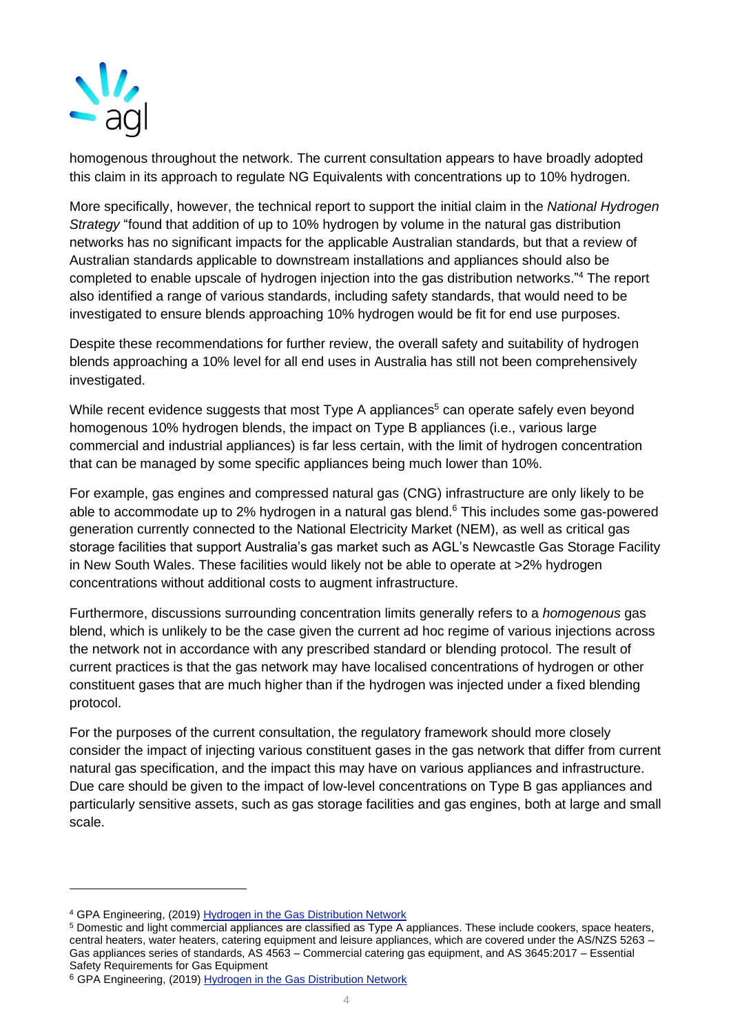

homogenous throughout the network. The current consultation appears to have broadly adopted this claim in its approach to regulate NG Equivalents with concentrations up to 10% hydrogen.

More specifically, however, the technical report to support the initial claim in the *National Hydrogen Strategy* "found that addition of up to 10% hydrogen by volume in the natural gas distribution networks has no significant impacts for the applicable Australian standards, but that a review of Australian standards applicable to downstream installations and appliances should also be completed to enable upscale of hydrogen injection into the gas distribution networks." <sup>4</sup> The report also identified a range of various standards, including safety standards, that would need to be investigated to ensure blends approaching 10% hydrogen would be fit for end use purposes.

Despite these recommendations for further review, the overall safety and suitability of hydrogen blends approaching a 10% level for all end uses in Australia has still not been comprehensively investigated.

While recent evidence suggests that most Type A appliances<sup>5</sup> can operate safely even beyond homogenous 10% hydrogen blends, the impact on Type B appliances (i.e., various large commercial and industrial appliances) is far less certain, with the limit of hydrogen concentration that can be managed by some specific appliances being much lower than 10%.

For example, gas engines and compressed natural gas (CNG) infrastructure are only likely to be able to accommodate up to 2% hydrogen in a natural gas blend.<sup>6</sup> This includes some gas-powered generation currently connected to the National Electricity Market (NEM), as well as critical gas storage facilities that support Australia's gas market such as AGL's Newcastle Gas Storage Facility in New South Wales. These facilities would likely not be able to operate at >2% hydrogen concentrations without additional costs to augment infrastructure.

Furthermore, discussions surrounding concentration limits generally refers to a *homogenous* gas blend, which is unlikely to be the case given the current ad hoc regime of various injections across the network not in accordance with any prescribed standard or blending protocol. The result of current practices is that the gas network may have localised concentrations of hydrogen or other constituent gases that are much higher than if the hydrogen was injected under a fixed blending protocol.

For the purposes of the current consultation, the regulatory framework should more closely consider the impact of injecting various constituent gases in the gas network that differ from current natural gas specification, and the impact this may have on various appliances and infrastructure. Due care should be given to the impact of low-level concentrations on Type B gas appliances and particularly sensitive assets, such as gas storage facilities and gas engines, both at large and small scale.

<sup>4</sup> GPA Engineering, (2019) [Hydrogen in the Gas Distribution Network](https://www.industry.gov.au/sites/default/files/2021-09/nhs-hydrogen-in-the-gas-distribution-networks-report-2019.pdf)

<sup>5</sup> Domestic and light commercial appliances are classified as Type A appliances. These include cookers, space heaters, central heaters, water heaters, catering equipment and leisure appliances, which are covered under the AS/NZS 5263 – Gas appliances series of standards, AS 4563 – Commercial catering gas equipment, and AS 3645:2017 – Essential Safety Requirements for Gas Equipment

<sup>6</sup> GPA Engineering, (2019) [Hydrogen in the Gas Distribution Network](https://www.industry.gov.au/sites/default/files/2021-09/nhs-hydrogen-in-the-gas-distribution-networks-report-2019.pdf)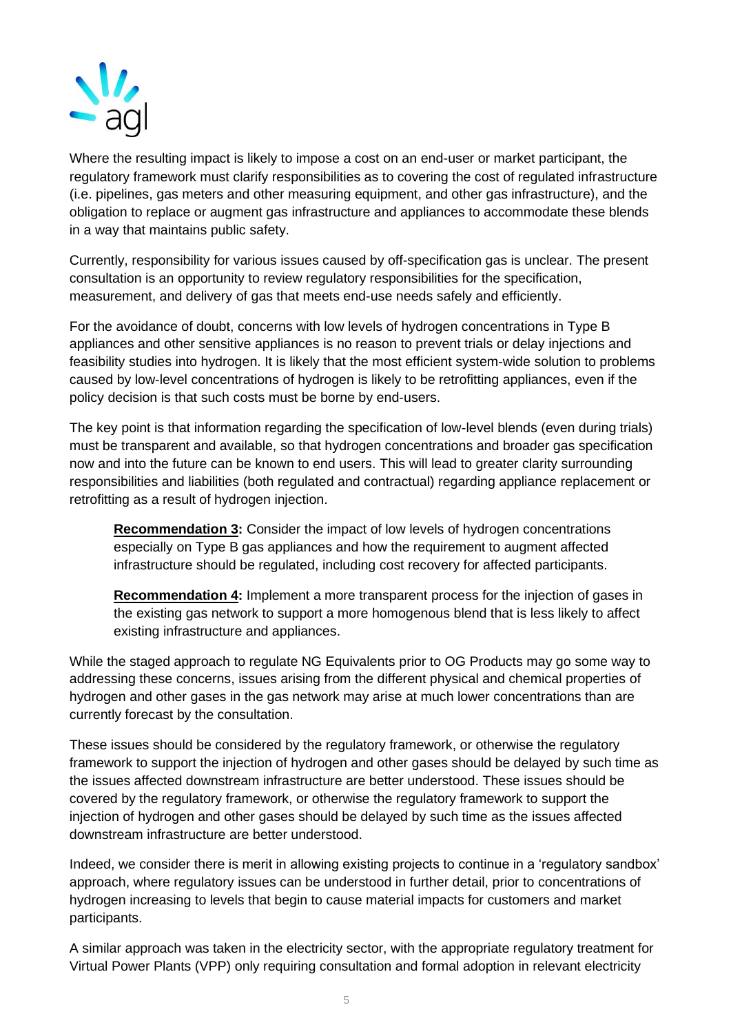

Where the resulting impact is likely to impose a cost on an end-user or market participant, the regulatory framework must clarify responsibilities as to covering the cost of regulated infrastructure (i.e. pipelines, gas meters and other measuring equipment, and other gas infrastructure), and the obligation to replace or augment gas infrastructure and appliances to accommodate these blends in a way that maintains public safety.

Currently, responsibility for various issues caused by off-specification gas is unclear. The present consultation is an opportunity to review regulatory responsibilities for the specification, measurement, and delivery of gas that meets end-use needs safely and efficiently.

For the avoidance of doubt, concerns with low levels of hydrogen concentrations in Type B appliances and other sensitive appliances is no reason to prevent trials or delay injections and feasibility studies into hydrogen. It is likely that the most efficient system-wide solution to problems caused by low-level concentrations of hydrogen is likely to be retrofitting appliances, even if the policy decision is that such costs must be borne by end-users.

The key point is that information regarding the specification of low-level blends (even during trials) must be transparent and available, so that hydrogen concentrations and broader gas specification now and into the future can be known to end users. This will lead to greater clarity surrounding responsibilities and liabilities (both regulated and contractual) regarding appliance replacement or retrofitting as a result of hydrogen injection.

**Recommendation 3:** Consider the impact of low levels of hydrogen concentrations especially on Type B gas appliances and how the requirement to augment affected infrastructure should be regulated, including cost recovery for affected participants.

**Recommendation 4:** Implement a more transparent process for the injection of gases in the existing gas network to support a more homogenous blend that is less likely to affect existing infrastructure and appliances.

While the staged approach to regulate NG Equivalents prior to OG Products may go some way to addressing these concerns, issues arising from the different physical and chemical properties of hydrogen and other gases in the gas network may arise at much lower concentrations than are currently forecast by the consultation.

These issues should be considered by the regulatory framework, or otherwise the regulatory framework to support the injection of hydrogen and other gases should be delayed by such time as the issues affected downstream infrastructure are better understood. These issues should be covered by the regulatory framework, or otherwise the regulatory framework to support the injection of hydrogen and other gases should be delayed by such time as the issues affected downstream infrastructure are better understood.

Indeed, we consider there is merit in allowing existing projects to continue in a 'regulatory sandbox' approach, where regulatory issues can be understood in further detail, prior to concentrations of hydrogen increasing to levels that begin to cause material impacts for customers and market participants.

A similar approach was taken in the electricity sector, with the appropriate regulatory treatment for Virtual Power Plants (VPP) only requiring consultation and formal adoption in relevant electricity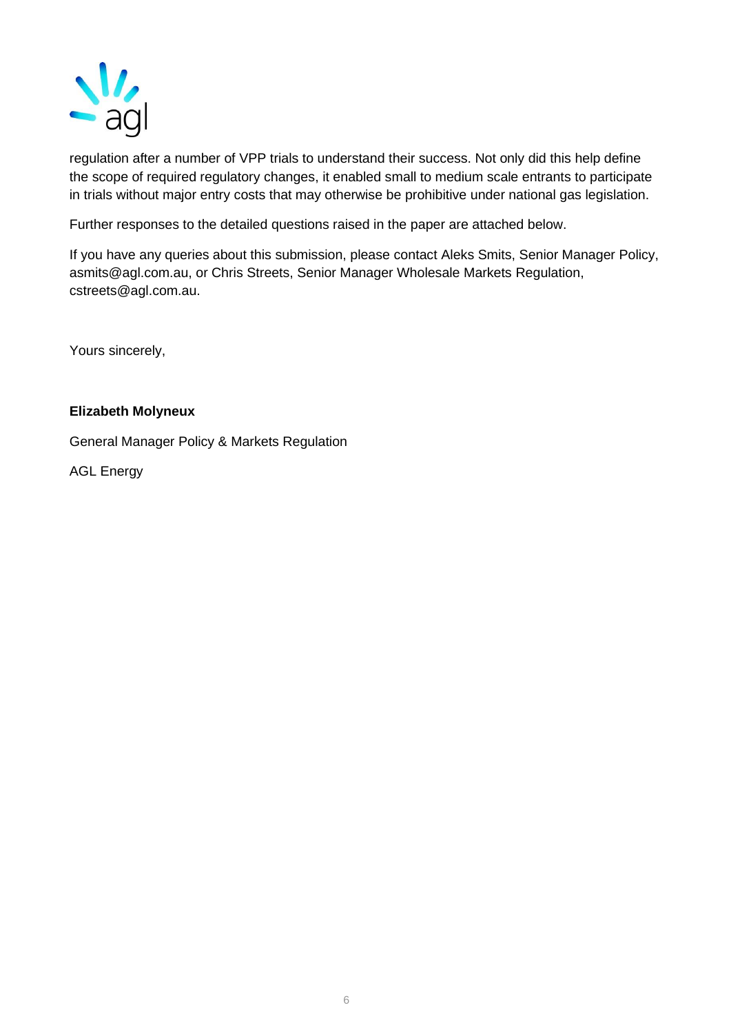

regulation after a number of VPP trials to understand their success. Not only did this help define the scope of required regulatory changes, it enabled small to medium scale entrants to participate in trials without major entry costs that may otherwise be prohibitive under national gas legislation.

Further responses to the detailed questions raised in the paper are attached below.

If you have any queries about this submission, please contact Aleks Smits, Senior Manager Policy, asmits@agl.com.au, or Chris Streets, Senior Manager Wholesale Markets Regulation, cstreets@agl.com.au.

Yours sincerely,

### **Elizabeth Molyneux**

General Manager Policy & Markets Regulation

AGL Energy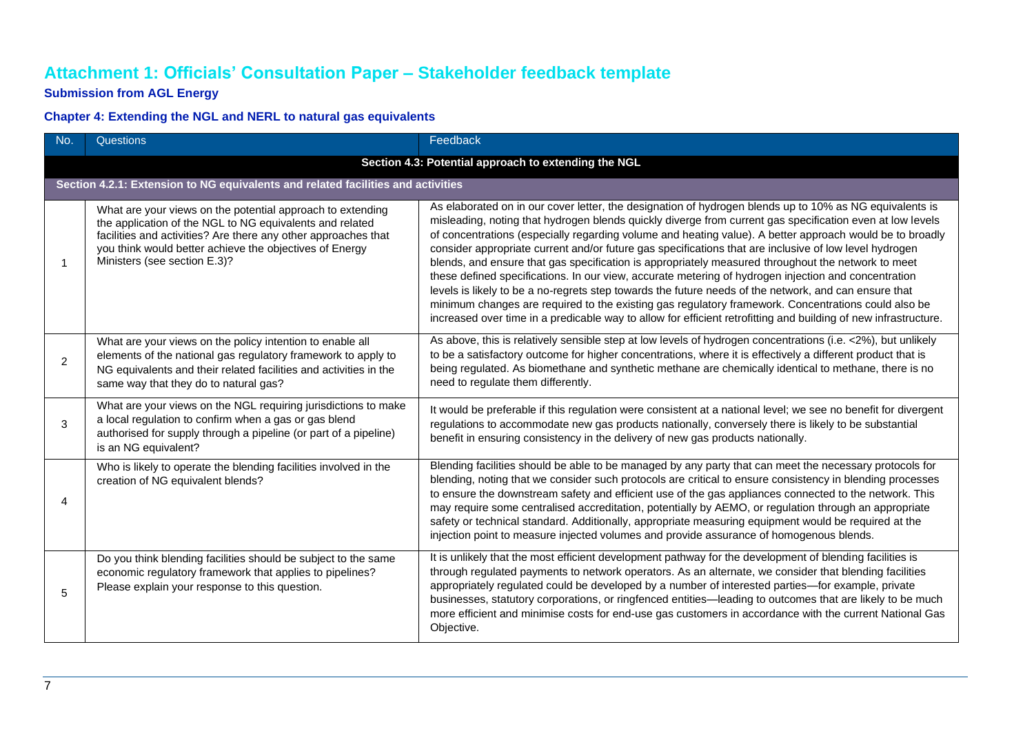# **Attachment 1: Officials' Consultation Paper – Stakeholder feedback template**

## **Submission from AGL Energy**

## **Chapter 4: Extending the NGL and NERL to natural gas equivalents**

| No. | Questions                                                                                                                                                                                                                                                                           | Feedback                                                                                                                                                                                                                                                                                                                                                                                                                                                                                                                                                                                                                                                                                                                                                                                                                                                                                                                                                                                    |  |
|-----|-------------------------------------------------------------------------------------------------------------------------------------------------------------------------------------------------------------------------------------------------------------------------------------|---------------------------------------------------------------------------------------------------------------------------------------------------------------------------------------------------------------------------------------------------------------------------------------------------------------------------------------------------------------------------------------------------------------------------------------------------------------------------------------------------------------------------------------------------------------------------------------------------------------------------------------------------------------------------------------------------------------------------------------------------------------------------------------------------------------------------------------------------------------------------------------------------------------------------------------------------------------------------------------------|--|
|     |                                                                                                                                                                                                                                                                                     | Section 4.3: Potential approach to extending the NGL                                                                                                                                                                                                                                                                                                                                                                                                                                                                                                                                                                                                                                                                                                                                                                                                                                                                                                                                        |  |
|     | Section 4.2.1: Extension to NG equivalents and related facilities and activities                                                                                                                                                                                                    |                                                                                                                                                                                                                                                                                                                                                                                                                                                                                                                                                                                                                                                                                                                                                                                                                                                                                                                                                                                             |  |
|     | What are your views on the potential approach to extending<br>the application of the NGL to NG equivalents and related<br>facilities and activities? Are there any other approaches that<br>you think would better achieve the objectives of Energy<br>Ministers (see section E.3)? | As elaborated on in our cover letter, the designation of hydrogen blends up to 10% as NG equivalents is<br>misleading, noting that hydrogen blends quickly diverge from current gas specification even at low levels<br>of concentrations (especially regarding volume and heating value). A better approach would be to broadly<br>consider appropriate current and/or future gas specifications that are inclusive of low level hydrogen<br>blends, and ensure that gas specification is appropriately measured throughout the network to meet<br>these defined specifications. In our view, accurate metering of hydrogen injection and concentration<br>levels is likely to be a no-regrets step towards the future needs of the network, and can ensure that<br>minimum changes are required to the existing gas regulatory framework. Concentrations could also be<br>increased over time in a predicable way to allow for efficient retrofitting and building of new infrastructure. |  |
| 2   | What are your views on the policy intention to enable all<br>elements of the national gas regulatory framework to apply to<br>NG equivalents and their related facilities and activities in the<br>same way that they do to natural gas?                                            | As above, this is relatively sensible step at low levels of hydrogen concentrations (i.e. <2%), but unlikely<br>to be a satisfactory outcome for higher concentrations, where it is effectively a different product that is<br>being regulated. As biomethane and synthetic methane are chemically identical to methane, there is no<br>need to regulate them differently.                                                                                                                                                                                                                                                                                                                                                                                                                                                                                                                                                                                                                  |  |
| 3   | What are your views on the NGL requiring jurisdictions to make<br>a local regulation to confirm when a gas or gas blend<br>authorised for supply through a pipeline (or part of a pipeline)<br>is an NG equivalent?                                                                 | It would be preferable if this regulation were consistent at a national level; we see no benefit for divergent<br>regulations to accommodate new gas products nationally, conversely there is likely to be substantial<br>benefit in ensuring consistency in the delivery of new gas products nationally.                                                                                                                                                                                                                                                                                                                                                                                                                                                                                                                                                                                                                                                                                   |  |
| Δ   | Who is likely to operate the blending facilities involved in the<br>creation of NG equivalent blends?                                                                                                                                                                               | Blending facilities should be able to be managed by any party that can meet the necessary protocols for<br>blending, noting that we consider such protocols are critical to ensure consistency in blending processes<br>to ensure the downstream safety and efficient use of the gas appliances connected to the network. This<br>may require some centralised accreditation, potentially by AEMO, or regulation through an appropriate<br>safety or technical standard. Additionally, appropriate measuring equipment would be required at the<br>injection point to measure injected volumes and provide assurance of homogenous blends.                                                                                                                                                                                                                                                                                                                                                  |  |
| 5   | Do you think blending facilities should be subject to the same<br>economic regulatory framework that applies to pipelines?<br>Please explain your response to this question.                                                                                                        | It is unlikely that the most efficient development pathway for the development of blending facilities is<br>through regulated payments to network operators. As an alternate, we consider that blending facilities<br>appropriately regulated could be developed by a number of interested parties—for example, private<br>businesses, statutory corporations, or ringfenced entities—leading to outcomes that are likely to be much<br>more efficient and minimise costs for end-use gas customers in accordance with the current National Gas<br>Objective.                                                                                                                                                                                                                                                                                                                                                                                                                               |  |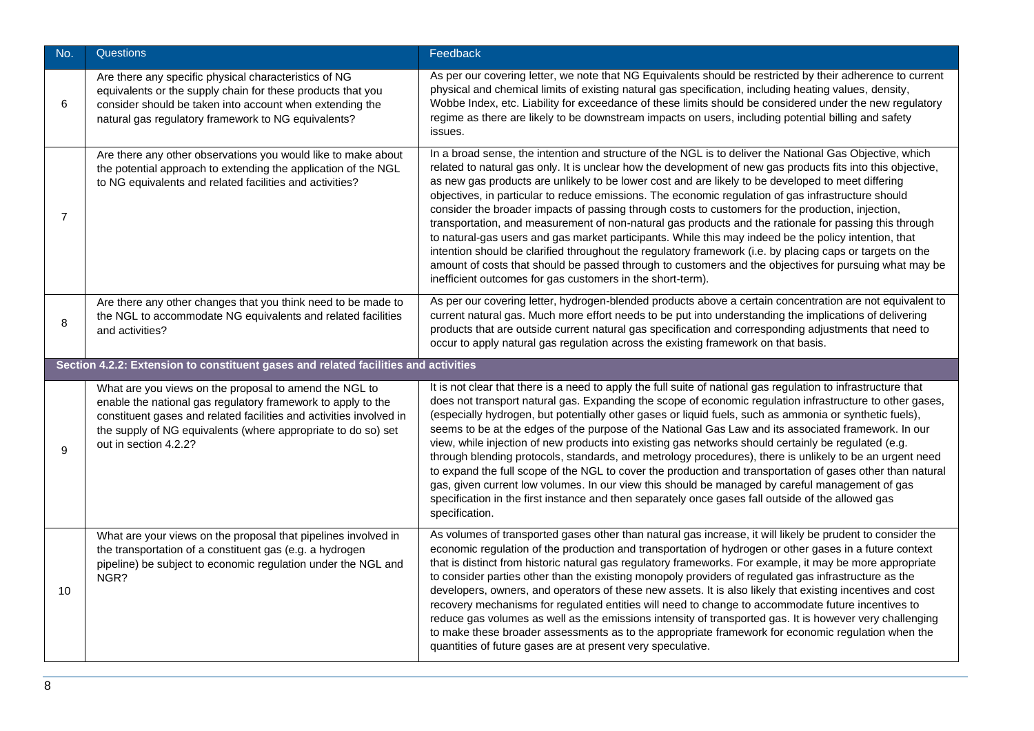| No.            | Questions                                                                                                                                                                                                                                                                               | Feedback                                                                                                                                                                                                                                                                                                                                                                                                                                                                                                                                                                                                                                                                                                                                                                                                                                                                                                                                                                                                                                           |
|----------------|-----------------------------------------------------------------------------------------------------------------------------------------------------------------------------------------------------------------------------------------------------------------------------------------|----------------------------------------------------------------------------------------------------------------------------------------------------------------------------------------------------------------------------------------------------------------------------------------------------------------------------------------------------------------------------------------------------------------------------------------------------------------------------------------------------------------------------------------------------------------------------------------------------------------------------------------------------------------------------------------------------------------------------------------------------------------------------------------------------------------------------------------------------------------------------------------------------------------------------------------------------------------------------------------------------------------------------------------------------|
| 6              | Are there any specific physical characteristics of NG<br>equivalents or the supply chain for these products that you<br>consider should be taken into account when extending the<br>natural gas regulatory framework to NG equivalents?                                                 | As per our covering letter, we note that NG Equivalents should be restricted by their adherence to current<br>physical and chemical limits of existing natural gas specification, including heating values, density,<br>Wobbe Index, etc. Liability for exceedance of these limits should be considered under the new regulatory<br>regime as there are likely to be downstream impacts on users, including potential billing and safety<br>issues.                                                                                                                                                                                                                                                                                                                                                                                                                                                                                                                                                                                                |
| $\overline{7}$ | Are there any other observations you would like to make about<br>the potential approach to extending the application of the NGL<br>to NG equivalents and related facilities and activities?                                                                                             | In a broad sense, the intention and structure of the NGL is to deliver the National Gas Objective, which<br>related to natural gas only. It is unclear how the development of new gas products fits into this objective,<br>as new gas products are unlikely to be lower cost and are likely to be developed to meet differing<br>objectives, in particular to reduce emissions. The economic regulation of gas infrastructure should<br>consider the broader impacts of passing through costs to customers for the production, injection,<br>transportation, and measurement of non-natural gas products and the rationale for passing this through<br>to natural-gas users and gas market participants. While this may indeed be the policy intention, that<br>intention should be clarified throughout the regulatory framework (i.e. by placing caps or targets on the<br>amount of costs that should be passed through to customers and the objectives for pursuing what may be<br>inefficient outcomes for gas customers in the short-term). |
| 8              | Are there any other changes that you think need to be made to<br>the NGL to accommodate NG equivalents and related facilities<br>and activities?                                                                                                                                        | As per our covering letter, hydrogen-blended products above a certain concentration are not equivalent to<br>current natural gas. Much more effort needs to be put into understanding the implications of delivering<br>products that are outside current natural gas specification and corresponding adjustments that need to<br>occur to apply natural gas regulation across the existing framework on that basis.                                                                                                                                                                                                                                                                                                                                                                                                                                                                                                                                                                                                                               |
|                | Section 4.2.2: Extension to constituent gases and related facilities and activities                                                                                                                                                                                                     |                                                                                                                                                                                                                                                                                                                                                                                                                                                                                                                                                                                                                                                                                                                                                                                                                                                                                                                                                                                                                                                    |
| 9              | What are you views on the proposal to amend the NGL to<br>enable the national gas regulatory framework to apply to the<br>constituent gases and related facilities and activities involved in<br>the supply of NG equivalents (where appropriate to do so) set<br>out in section 4.2.2? | It is not clear that there is a need to apply the full suite of national gas regulation to infrastructure that<br>does not transport natural gas. Expanding the scope of economic regulation infrastructure to other gases,<br>(especially hydrogen, but potentially other gases or liquid fuels, such as ammonia or synthetic fuels),<br>seems to be at the edges of the purpose of the National Gas Law and its associated framework. In our<br>view, while injection of new products into existing gas networks should certainly be regulated (e.g.<br>through blending protocols, standards, and metrology procedures), there is unlikely to be an urgent need<br>to expand the full scope of the NGL to cover the production and transportation of gases other than natural<br>gas, given current low volumes. In our view this should be managed by careful management of gas<br>specification in the first instance and then separately once gases fall outside of the allowed gas<br>specification.                                        |
| 10             | What are your views on the proposal that pipelines involved in<br>the transportation of a constituent gas (e.g. a hydrogen<br>pipeline) be subject to economic regulation under the NGL and<br>NGR?                                                                                     | As volumes of transported gases other than natural gas increase, it will likely be prudent to consider the<br>economic regulation of the production and transportation of hydrogen or other gases in a future context<br>that is distinct from historic natural gas regulatory frameworks. For example, it may be more appropriate<br>to consider parties other than the existing monopoly providers of regulated gas infrastructure as the<br>developers, owners, and operators of these new assets. It is also likely that existing incentives and cost<br>recovery mechanisms for regulated entities will need to change to accommodate future incentives to<br>reduce gas volumes as well as the emissions intensity of transported gas. It is however very challenging<br>to make these broader assessments as to the appropriate framework for economic regulation when the<br>quantities of future gases are at present very speculative.                                                                                                   |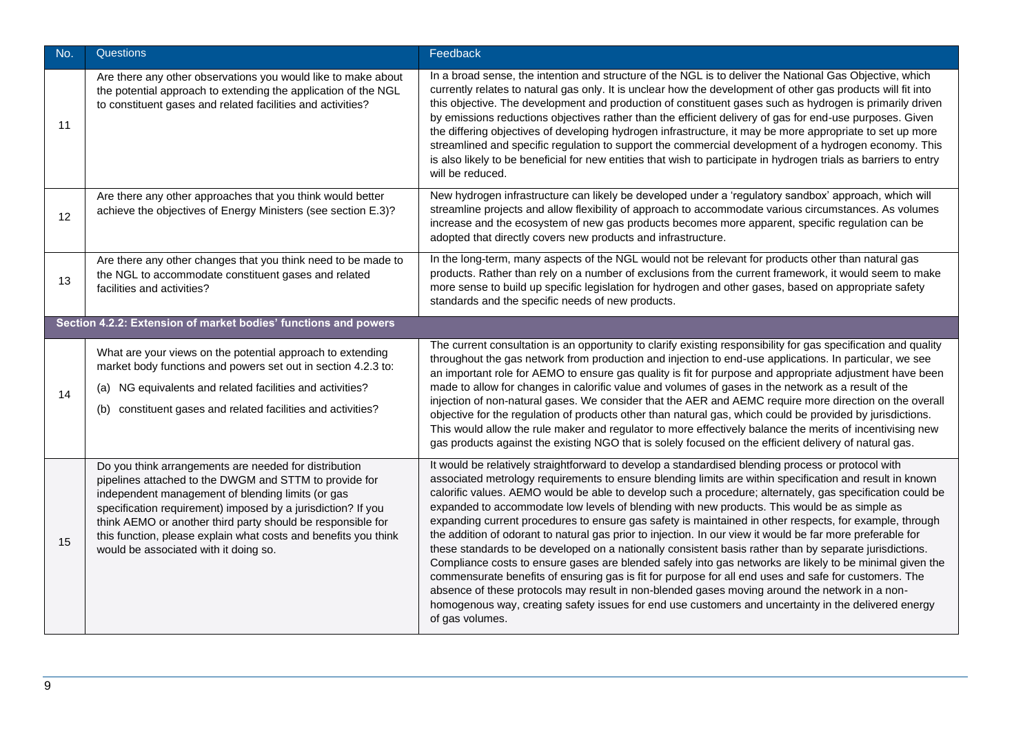| No. | <b>Questions</b>                                                                                                                                                                                                                                                                                                                                                                                                | Feedback                                                                                                                                                                                                                                                                                                                                                                                                                                                                                                                                                                                                                                                                                                                                                                                                                                                                                                                                                                                                                                                                                                                                                                                                          |
|-----|-----------------------------------------------------------------------------------------------------------------------------------------------------------------------------------------------------------------------------------------------------------------------------------------------------------------------------------------------------------------------------------------------------------------|-------------------------------------------------------------------------------------------------------------------------------------------------------------------------------------------------------------------------------------------------------------------------------------------------------------------------------------------------------------------------------------------------------------------------------------------------------------------------------------------------------------------------------------------------------------------------------------------------------------------------------------------------------------------------------------------------------------------------------------------------------------------------------------------------------------------------------------------------------------------------------------------------------------------------------------------------------------------------------------------------------------------------------------------------------------------------------------------------------------------------------------------------------------------------------------------------------------------|
| 11  | Are there any other observations you would like to make about<br>the potential approach to extending the application of the NGL<br>to constituent gases and related facilities and activities?                                                                                                                                                                                                                  | In a broad sense, the intention and structure of the NGL is to deliver the National Gas Objective, which<br>currently relates to natural gas only. It is unclear how the development of other gas products will fit into<br>this objective. The development and production of constituent gases such as hydrogen is primarily driven<br>by emissions reductions objectives rather than the efficient delivery of gas for end-use purposes. Given<br>the differing objectives of developing hydrogen infrastructure, it may be more appropriate to set up more<br>streamlined and specific regulation to support the commercial development of a hydrogen economy. This<br>is also likely to be beneficial for new entities that wish to participate in hydrogen trials as barriers to entry<br>will be reduced.                                                                                                                                                                                                                                                                                                                                                                                                   |
| 12  | Are there any other approaches that you think would better<br>achieve the objectives of Energy Ministers (see section E.3)?                                                                                                                                                                                                                                                                                     | New hydrogen infrastructure can likely be developed under a 'regulatory sandbox' approach, which will<br>streamline projects and allow flexibility of approach to accommodate various circumstances. As volumes<br>increase and the ecosystem of new gas products becomes more apparent, specific regulation can be<br>adopted that directly covers new products and infrastructure.                                                                                                                                                                                                                                                                                                                                                                                                                                                                                                                                                                                                                                                                                                                                                                                                                              |
| 13  | Are there any other changes that you think need to be made to<br>the NGL to accommodate constituent gases and related<br>facilities and activities?                                                                                                                                                                                                                                                             | In the long-term, many aspects of the NGL would not be relevant for products other than natural gas<br>products. Rather than rely on a number of exclusions from the current framework, it would seem to make<br>more sense to build up specific legislation for hydrogen and other gases, based on appropriate safety<br>standards and the specific needs of new products.                                                                                                                                                                                                                                                                                                                                                                                                                                                                                                                                                                                                                                                                                                                                                                                                                                       |
|     | Section 4.2.2: Extension of market bodies' functions and powers                                                                                                                                                                                                                                                                                                                                                 |                                                                                                                                                                                                                                                                                                                                                                                                                                                                                                                                                                                                                                                                                                                                                                                                                                                                                                                                                                                                                                                                                                                                                                                                                   |
| 14  | What are your views on the potential approach to extending<br>market body functions and powers set out in section 4.2.3 to:<br>(a) NG equivalents and related facilities and activities?<br>constituent gases and related facilities and activities?<br>(b)                                                                                                                                                     | The current consultation is an opportunity to clarify existing responsibility for gas specification and quality<br>throughout the gas network from production and injection to end-use applications. In particular, we see<br>an important role for AEMO to ensure gas quality is fit for purpose and appropriate adjustment have been<br>made to allow for changes in calorific value and volumes of gases in the network as a result of the<br>injection of non-natural gases. We consider that the AER and AEMC require more direction on the overall<br>objective for the regulation of products other than natural gas, which could be provided by jurisdictions.<br>This would allow the rule maker and regulator to more effectively balance the merits of incentivising new<br>gas products against the existing NGO that is solely focused on the efficient delivery of natural gas.                                                                                                                                                                                                                                                                                                                     |
| 15  | Do you think arrangements are needed for distribution<br>pipelines attached to the DWGM and STTM to provide for<br>independent management of blending limits (or gas<br>specification requirement) imposed by a jurisdiction? If you<br>think AEMO or another third party should be responsible for<br>this function, please explain what costs and benefits you think<br>would be associated with it doing so. | It would be relatively straightforward to develop a standardised blending process or protocol with<br>associated metrology requirements to ensure blending limits are within specification and result in known<br>calorific values. AEMO would be able to develop such a procedure; alternately, gas specification could be<br>expanded to accommodate low levels of blending with new products. This would be as simple as<br>expanding current procedures to ensure gas safety is maintained in other respects, for example, through<br>the addition of odorant to natural gas prior to injection. In our view it would be far more preferable for<br>these standards to be developed on a nationally consistent basis rather than by separate jurisdictions.<br>Compliance costs to ensure gases are blended safely into gas networks are likely to be minimal given the<br>commensurate benefits of ensuring gas is fit for purpose for all end uses and safe for customers. The<br>absence of these protocols may result in non-blended gases moving around the network in a non-<br>homogenous way, creating safety issues for end use customers and uncertainty in the delivered energy<br>of gas volumes. |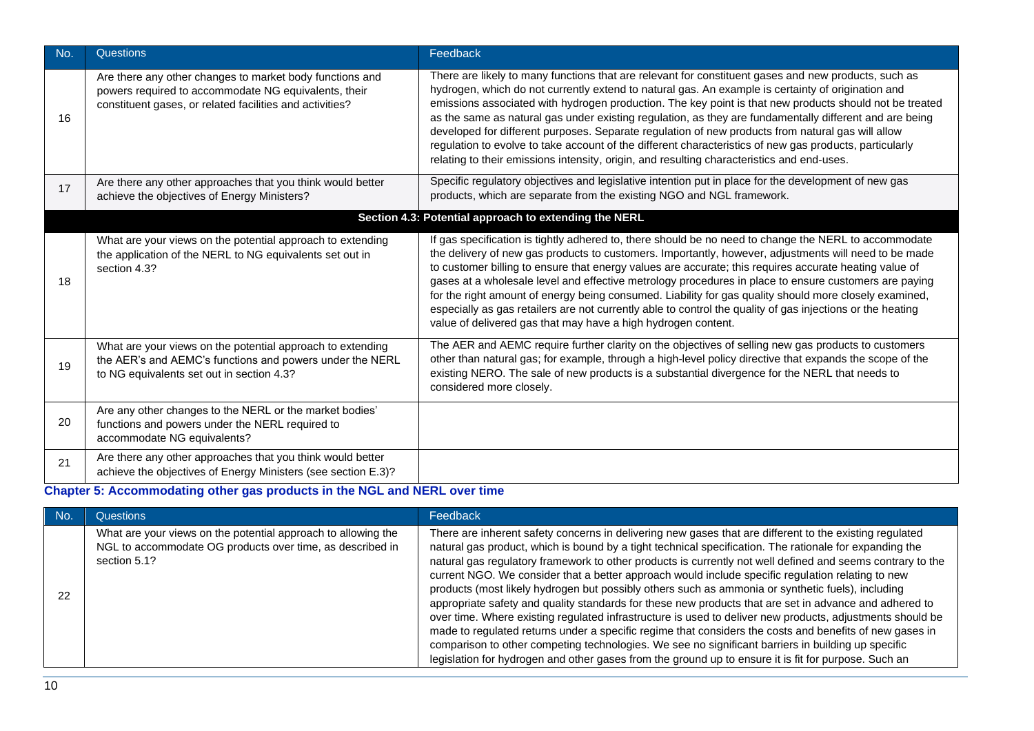| No. | <b>Questions</b>                                                                                                                                                             | Feedback                                                                                                                                                                                                                                                                                                                                                                                                                                                                                                                                                                                                                                                                                                                                       |
|-----|------------------------------------------------------------------------------------------------------------------------------------------------------------------------------|------------------------------------------------------------------------------------------------------------------------------------------------------------------------------------------------------------------------------------------------------------------------------------------------------------------------------------------------------------------------------------------------------------------------------------------------------------------------------------------------------------------------------------------------------------------------------------------------------------------------------------------------------------------------------------------------------------------------------------------------|
| 16  | Are there any other changes to market body functions and<br>powers required to accommodate NG equivalents, their<br>constituent gases, or related facilities and activities? | There are likely to many functions that are relevant for constituent gases and new products, such as<br>hydrogen, which do not currently extend to natural gas. An example is certainty of origination and<br>emissions associated with hydrogen production. The key point is that new products should not be treated<br>as the same as natural gas under existing regulation, as they are fundamentally different and are being<br>developed for different purposes. Separate regulation of new products from natural gas will allow<br>regulation to evolve to take account of the different characteristics of new gas products, particularly<br>relating to their emissions intensity, origin, and resulting characteristics and end-uses. |
| 17  | Are there any other approaches that you think would better<br>achieve the objectives of Energy Ministers?                                                                    | Specific regulatory objectives and legislative intention put in place for the development of new gas<br>products, which are separate from the existing NGO and NGL framework.                                                                                                                                                                                                                                                                                                                                                                                                                                                                                                                                                                  |
|     |                                                                                                                                                                              | Section 4.3: Potential approach to extending the NERL                                                                                                                                                                                                                                                                                                                                                                                                                                                                                                                                                                                                                                                                                          |
| 18  | What are your views on the potential approach to extending<br>the application of the NERL to NG equivalents set out in<br>section 4.3?                                       | If gas specification is tightly adhered to, there should be no need to change the NERL to accommodate<br>the delivery of new gas products to customers. Importantly, however, adjustments will need to be made<br>to customer billing to ensure that energy values are accurate; this requires accurate heating value of<br>gases at a wholesale level and effective metrology procedures in place to ensure customers are paying<br>for the right amount of energy being consumed. Liability for gas quality should more closely examined,<br>especially as gas retailers are not currently able to control the quality of gas injections or the heating<br>value of delivered gas that may have a high hydrogen content.                     |
| 19  | What are your views on the potential approach to extending<br>the AER's and AEMC's functions and powers under the NERL<br>to NG equivalents set out in section 4.3?          | The AER and AEMC require further clarity on the objectives of selling new gas products to customers<br>other than natural gas; for example, through a high-level policy directive that expands the scope of the<br>existing NERO. The sale of new products is a substantial divergence for the NERL that needs to<br>considered more closely.                                                                                                                                                                                                                                                                                                                                                                                                  |
| 20  | Are any other changes to the NERL or the market bodies'<br>functions and powers under the NERL required to<br>accommodate NG equivalents?                                    |                                                                                                                                                                                                                                                                                                                                                                                                                                                                                                                                                                                                                                                                                                                                                |
| 21  | Are there any other approaches that you think would better<br>achieve the objectives of Energy Ministers (see section E.3)?                                                  |                                                                                                                                                                                                                                                                                                                                                                                                                                                                                                                                                                                                                                                                                                                                                |

## **Chapter 5: Accommodating other gas products in the NGL and NERL over time**

| Mo. | <b>Questions</b>                                                                                                                           | Feedback                                                                                                                                                                                                                                                                                                                                                                                                                                                                                                                                                                                                                                                                                                                                                                                                                                                                                                                                                                                                                                                                                   |
|-----|--------------------------------------------------------------------------------------------------------------------------------------------|--------------------------------------------------------------------------------------------------------------------------------------------------------------------------------------------------------------------------------------------------------------------------------------------------------------------------------------------------------------------------------------------------------------------------------------------------------------------------------------------------------------------------------------------------------------------------------------------------------------------------------------------------------------------------------------------------------------------------------------------------------------------------------------------------------------------------------------------------------------------------------------------------------------------------------------------------------------------------------------------------------------------------------------------------------------------------------------------|
| 22  | What are your views on the potential approach to allowing the<br>NGL to accommodate OG products over time, as described in<br>section 5.1? | There are inherent safety concerns in delivering new gases that are different to the existing regulated<br>natural gas product, which is bound by a tight technical specification. The rationale for expanding the<br>natural gas regulatory framework to other products is currently not well defined and seems contrary to the<br>current NGO. We consider that a better approach would include specific regulation relating to new<br>products (most likely hydrogen but possibly others such as ammonia or synthetic fuels), including<br>appropriate safety and quality standards for these new products that are set in advance and adhered to<br>over time. Where existing regulated infrastructure is used to deliver new products, adjustments should be<br>made to regulated returns under a specific regime that considers the costs and benefits of new gases in<br>comparison to other competing technologies. We see no significant barriers in building up specific<br>legislation for hydrogen and other gases from the ground up to ensure it is fit for purpose. Such an |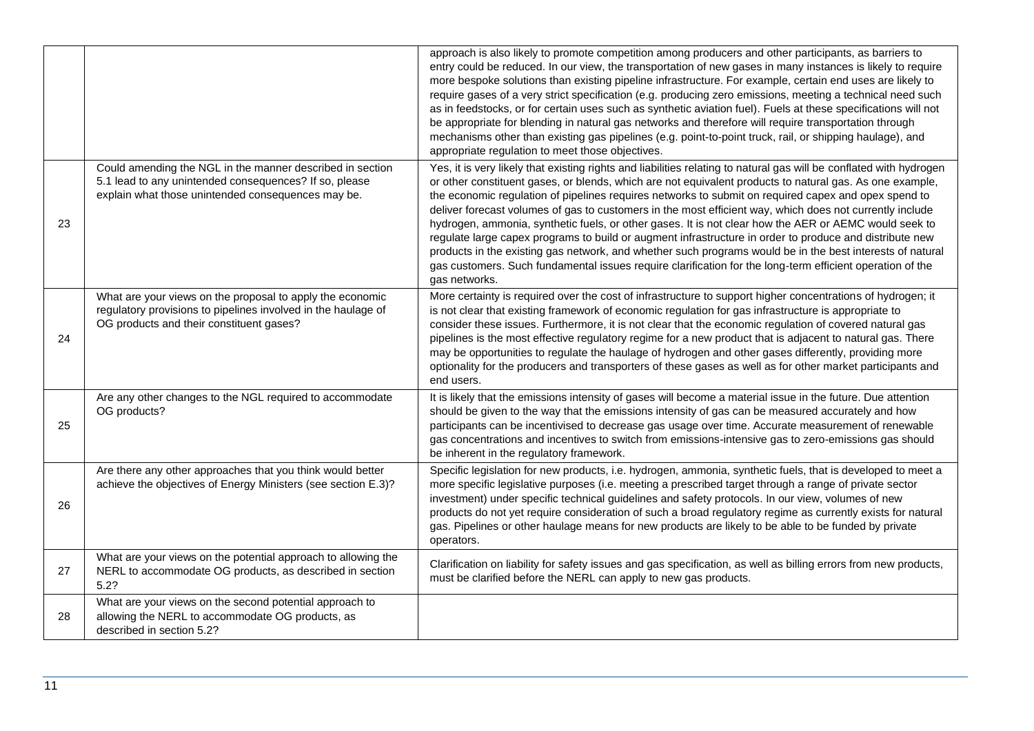|    |                                                                                                                                                                           | approach is also likely to promote competition among producers and other participants, as barriers to<br>entry could be reduced. In our view, the transportation of new gases in many instances is likely to require<br>more bespoke solutions than existing pipeline infrastructure. For example, certain end uses are likely to<br>require gases of a very strict specification (e.g. producing zero emissions, meeting a technical need such<br>as in feedstocks, or for certain uses such as synthetic aviation fuel). Fuels at these specifications will not<br>be appropriate for blending in natural gas networks and therefore will require transportation through<br>mechanisms other than existing gas pipelines (e.g. point-to-point truck, rail, or shipping haulage), and<br>appropriate regulation to meet those objectives.                                                                         |
|----|---------------------------------------------------------------------------------------------------------------------------------------------------------------------------|--------------------------------------------------------------------------------------------------------------------------------------------------------------------------------------------------------------------------------------------------------------------------------------------------------------------------------------------------------------------------------------------------------------------------------------------------------------------------------------------------------------------------------------------------------------------------------------------------------------------------------------------------------------------------------------------------------------------------------------------------------------------------------------------------------------------------------------------------------------------------------------------------------------------|
| 23 | Could amending the NGL in the manner described in section<br>5.1 lead to any unintended consequences? If so, please<br>explain what those unintended consequences may be. | Yes, it is very likely that existing rights and liabilities relating to natural gas will be conflated with hydrogen<br>or other constituent gases, or blends, which are not equivalent products to natural gas. As one example,<br>the economic regulation of pipelines requires networks to submit on required capex and opex spend to<br>deliver forecast volumes of gas to customers in the most efficient way, which does not currently include<br>hydrogen, ammonia, synthetic fuels, or other gases. It is not clear how the AER or AEMC would seek to<br>regulate large capex programs to build or augment infrastructure in order to produce and distribute new<br>products in the existing gas network, and whether such programs would be in the best interests of natural<br>gas customers. Such fundamental issues require clarification for the long-term efficient operation of the<br>gas networks. |
| 24 | What are your views on the proposal to apply the economic<br>regulatory provisions to pipelines involved in the haulage of<br>OG products and their constituent gases?    | More certainty is required over the cost of infrastructure to support higher concentrations of hydrogen; it<br>is not clear that existing framework of economic regulation for gas infrastructure is appropriate to<br>consider these issues. Furthermore, it is not clear that the economic regulation of covered natural gas<br>pipelines is the most effective regulatory regime for a new product that is adjacent to natural gas. There<br>may be opportunities to regulate the haulage of hydrogen and other gases differently, providing more<br>optionality for the producers and transporters of these gases as well as for other market participants and<br>end users.                                                                                                                                                                                                                                   |
| 25 | Are any other changes to the NGL required to accommodate<br>OG products?                                                                                                  | It is likely that the emissions intensity of gases will become a material issue in the future. Due attention<br>should be given to the way that the emissions intensity of gas can be measured accurately and how<br>participants can be incentivised to decrease gas usage over time. Accurate measurement of renewable<br>gas concentrations and incentives to switch from emissions-intensive gas to zero-emissions gas should<br>be inherent in the regulatory framework.                                                                                                                                                                                                                                                                                                                                                                                                                                      |
| 26 | Are there any other approaches that you think would better<br>achieve the objectives of Energy Ministers (see section E.3)?                                               | Specific legislation for new products, i.e. hydrogen, ammonia, synthetic fuels, that is developed to meet a<br>more specific legislative purposes (i.e. meeting a prescribed target through a range of private sector<br>investment) under specific technical guidelines and safety protocols. In our view, volumes of new<br>products do not yet require consideration of such a broad regulatory regime as currently exists for natural<br>gas. Pipelines or other haulage means for new products are likely to be able to be funded by private<br>operators.                                                                                                                                                                                                                                                                                                                                                    |
| 27 | What are your views on the potential approach to allowing the<br>NERL to accommodate OG products, as described in section<br>5.2?                                         | Clarification on liability for safety issues and gas specification, as well as billing errors from new products,<br>must be clarified before the NERL can apply to new gas products.                                                                                                                                                                                                                                                                                                                                                                                                                                                                                                                                                                                                                                                                                                                               |
| 28 | What are your views on the second potential approach to<br>allowing the NERL to accommodate OG products, as<br>described in section 5.2?                                  |                                                                                                                                                                                                                                                                                                                                                                                                                                                                                                                                                                                                                                                                                                                                                                                                                                                                                                                    |